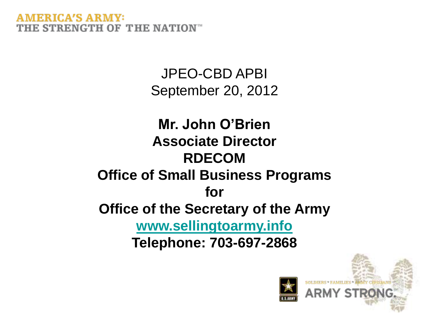> JPEO-CBD APBI September 20, 2012

**Mr. John O'Brien Associate Director RDECOM Office of Small Business Programs for Office of the Secretary of the Army [www.sellingtoarmy.info](http://www.sellingtoarmy.info/) Telephone: 703-697-2868**

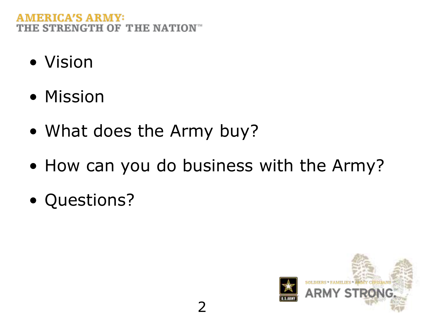- Vision
- Mission
- What does the Army buy?
- How can you do business with the Army?
- Questions?

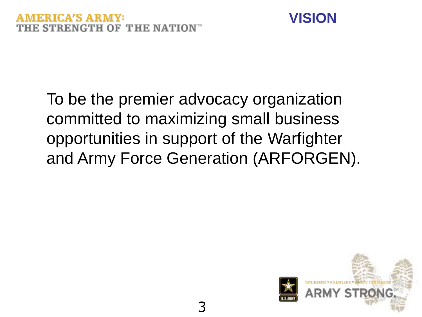

To be the premier advocacy organization committed to maximizing small business opportunities in support of the Warfighter and Army Force Generation (ARFORGEN).

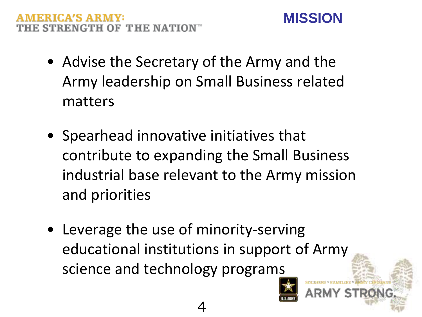#### **FRICA'S ARMV:** E STRENGTH OF THE NATION™

- Advise the Secretary of the Army and the Army leadership on Small Business related matters
- Spearhead innovative initiatives that contribute to expanding the Small Business industrial base relevant to the Army mission and priorities
- Leverage the use of minority-serving educational institutions in support of Army science and technology programs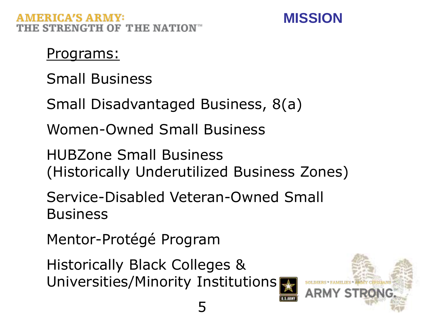

#### Programs:

Small Business

Small Disadvantaged Business, 8(a)

Women-Owned Small Business

HUBZone Small Business (Historically Underutilized Business Zones)

Service-Disabled Veteran-Owned Small **Business** 

Mentor-Protégé Program

Historically Black Colleges & Universities/Minority Institutions

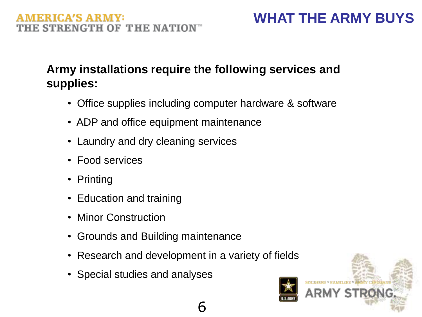#### **Army installations require the following services and supplies:**

- Office supplies including computer hardware & software
- ADP and office equipment maintenance
- Laundry and dry cleaning services
- Food services
- Printing
- Education and training
- Minor Construction
- Grounds and Building maintenance
- Research and development in a variety of fields
- Special studies and analyses

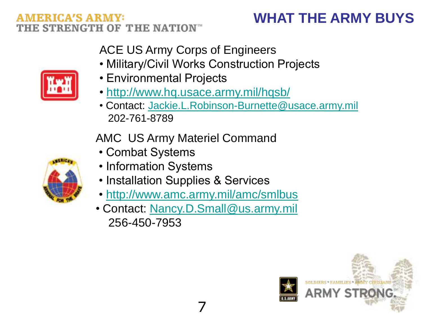### **WHAT THE ARMY BUYS**

ACE US Army Corps of Engineers

- Military/Civil Works Construction Projects
- Environmental Projects
- •<http://www.hq.usace.army.mil/hqsb/>
- Contact: [Jackie.L.Robinson-Burnette@usace.army.mil](mailto:Jackie.L.Robinson-Burnette@usace.army.mil) 202-761-8789

AMC US Army Materiel Command

- Combat Systems
- Information Systems
- Installation Supplies & Services
- •<http://www.amc.army.mil/amc/smlbus>
- Contact: [Nancy.D.Small@us.army.mil](mailto:Nancy.D.Small@us.army.mil) 256-450-7953





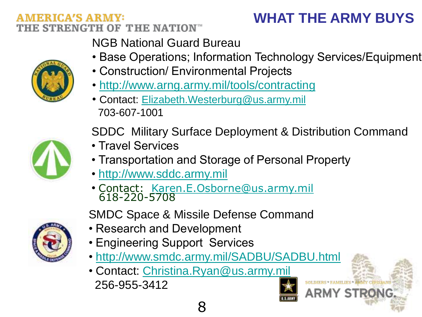### **WHAT THE ARMY BUYS**

ARMY STRON

NGB National Guard Bureau

- Base Operations; Information Technology Services/Equipment
- Construction/ Environmental Projects
- <http://www.arng.army.mil/tools/contracting>
- Contact: [Elizabeth.Westerburg@us.army.mil](mailto:Elizabeth.Westerburg@us.army.mil) 703-607-1001

SDDC Military Surface Deployment & Distribution Command

- Travel Services
- Transportation and Storage of Personal Property
- • [http://www.sddc.army.mil](http://www.sddc.army.mil/)
- Contact: [Karen.E.Osborne@us.army.mil](mailto:Karen.E.Osborne@us.army.mil) 618-220-5708

SMDC Space & Missile Defense Command

- Research and Development
- Engineering Support Services
- <http://www.smdc.army.mil/SADBU/SADBU.html>
- Contact: [Christina.Ryan@us.army.mil](mailto:Christina.Ryan@us.army.mil) 256-955-3412





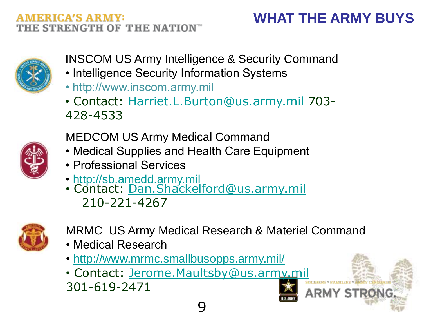v st



- INSCOM US Army Intelligence & Security Command
- Intelligence Security Information Systems
- http://www.inscom.army.mil
- Contact: [Harriet.L.Burton@us.army.mil](mailto:Harriet.L.Burton@us.army.mil) 703- 428-4533



- MEDCOM US Army Medical Command
- Medical Supplies and Health Care Equipment
- Professional Services
- • [http://sb.amedd.army.mil](http://sb.amedd.army.mil/)
- Contact: [Dan.Shackelford@us.army.mil](mailto:Dan.Shackelford@us.army.mil) 210-221-4267



- MRMC US Army Medical Research & Materiel Command
- Medical Research
- •<http://www.mrmc.smallbusopps.army.mil/>
- Contact: [Jerome.Maultsby@us.army.mil](mailto:Jerome.Maultsby@us.army.mil) 301-619-2471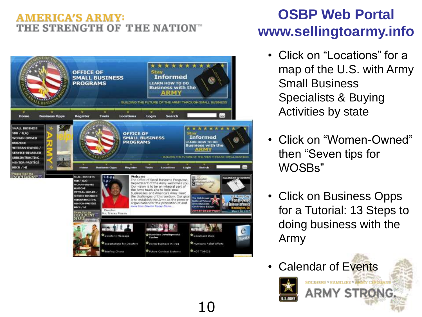#### **AMERICA'S ARMY:** THE STRENGTH OF THE NATION<sup>®</sup>



#### **OSBP Web Portal www.sellingtoarmy.info**

- Click on "Locations" for a map of the U.S. with Army Small Business Specialists & Buying Activities by state
- Click on "Women-Owned" then "Seven tips for WOSBs"
- Click on Business Opps for a Tutorial: 13 Steps to doing business with the Army

SOLDHERS \* FAMILIES \* ARMY CHATAANS ARMY STRONG.

Calendar of Events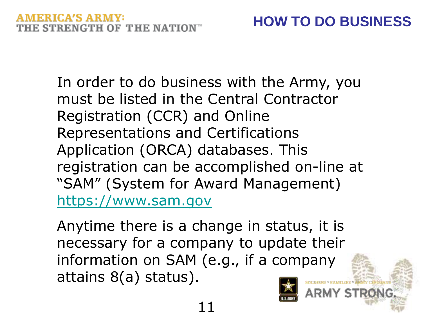In order to do business with the Army, you must be listed in the Central Contractor Registration (CCR) and Online Representations and Certifications Application (ORCA) databases. This registration can be accomplished on-line at "SAM" (System for Award Management) [https://www.sam.gov](https://www.sam.gov/)

Anytime there is a change in status, it is necessary for a company to update their information on SAM (e.g., if a company attains 8(a) status).



ARMY STR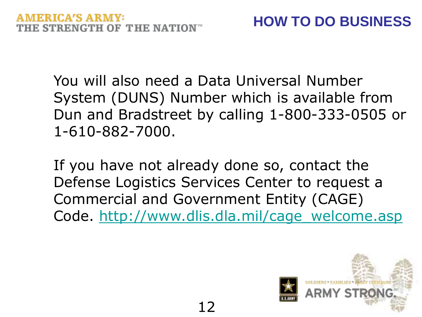You will also need a Data Universal Number System (DUNS) Number which is available from Dun and Bradstreet by calling 1-800-333-0505 or 1-610-882-7000.

If you have not already done so, contact the Defense Logistics Services Center to request a Commercial and Government Entity (CAGE) Code. [http://www.dlis.dla.mil/cage\\_welcome.asp](http://www.dlis.dla.mil/cage_welcome.asp)

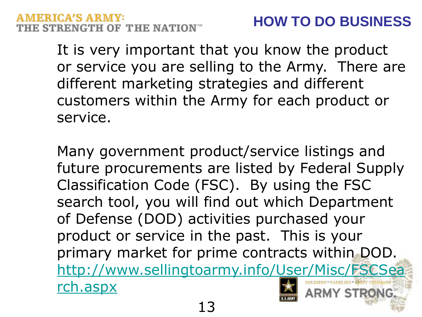It is very important that you know the product or service you are selling to the Army. There are different marketing strategies and different customers within the Army for each product or service.

Many government product/service listings and future procurements are listed by Federal Supply Classification Code (FSC). By using the FSC search tool, you will find out which Department of Defense (DOD) activities purchased your product or service in the past. This is your primary market for prime contracts within DOD. [http://www.sellingtoarmy.info/User/Misc/FSCSea](http://www.sellingtoarmy.info/User/Misc/FSCSearch.aspx) [rch.aspx](http://www.sellingtoarmy.info/User/Misc/FSCSearch.aspx) ARMY STRONG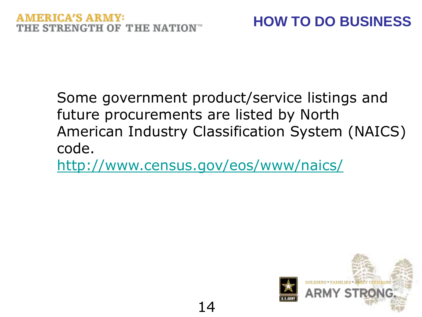Some government product/service listings and future procurements are listed by North American Industry Classification System (NAICS) code.

<http://www.census.gov/eos/www/naics/>

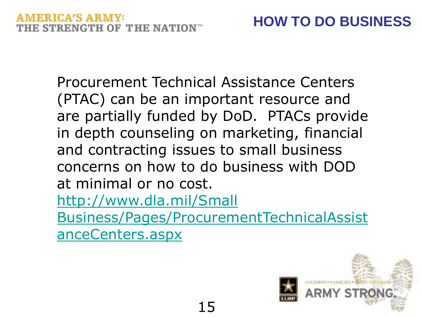Procurement Technical Assistance Centers (PTAC) can be an important resource and are partially funded by DoD. PTACs provide in depth counseling on marketing, financial and contracting issues to small business concerns on how to do business with DOD at minimal or no cost. <http://www.dla.mil/Small> Business/Pages/ProcurementTechnicalAssist anceCenters.aspx

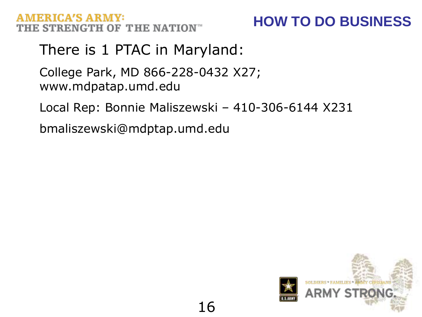#### **HOW TO DO BUSINESS**

#### There is 1 PTAC in Maryland:

College Park, MD 866-228-0432 X27; www.mdpatap.umd.edu

Local Rep: Bonnie Maliszewski – 410-306-6144 X231

bmaliszewski@mdptap.umd.edu

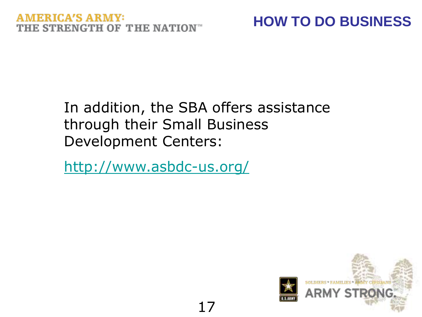## **HOW TO DO BUSINESS**

#### In addition, the SBA offers assistance through their Small Business Development Centers:

17

<http://www.asbdc-us.org/>

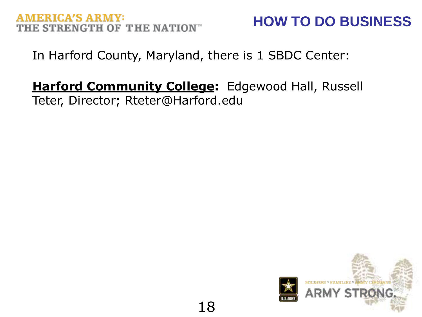## **AMERICA'S ARMY:**

## **HOW TO DO BUSINESS**

In Harford County, Maryland, there is 1 SBDC Center:

## **Harford Community College:** Edgewood Hall, Russell

Teter, Director; Rteter@Harford.edu

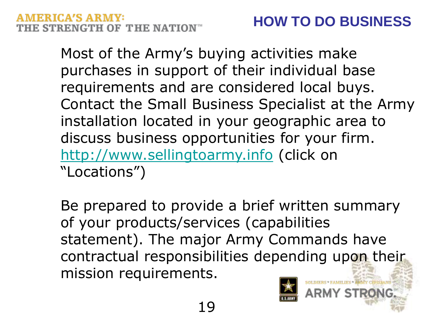## MERICA'S ARMY:

Most of the Army's buying activities make purchases in support of their individual base requirements and are considered local buys. Contact the Small Business Specialist at the Army installation located in your geographic area to discuss business opportunities for your firm. [http://www.sellingtoarmy.info](http://www.sellingtoarmy.info/) (click on "Locations")

Be prepared to provide a brief written summary of your products/services (capabilities statement). The major Army Commands have contractual responsibilities depending upon their mission requirements.



Y STRI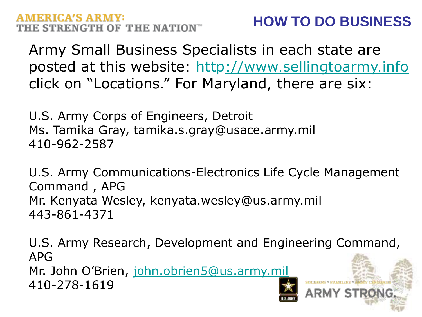## **HOW TO DO BUSINESS**

Army Small Business Specialists in each state are posted at this website: http[://www.sellingtoarmy.info](http://www.sellingtoarmy.info/) click on "Locations." For Maryland, there are six:

U.S. Army Corps of Engineers, Detroit Ms. Tamika Gray, tamika.s.gray@usace.army.mil 410-962-2587

U.S. Army Communications-Electronics Life Cycle Management Command , APG Mr. Kenyata Wesley, kenyata.wesley@us.army.mil 443-861-4371

U.S. Army Research, Development and Engineering Command, APG Mr. John O'Brien, [john.obrien5@us.army.mil](mailto:john.obrien5@us.army.mil) 410-278-1619 ARMY STRON(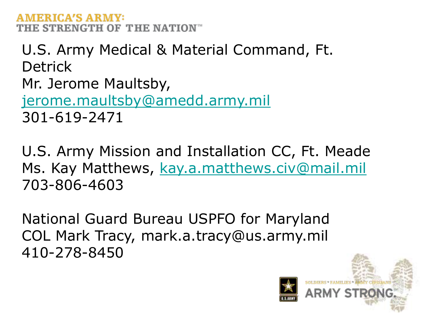U.S. Army Medical & Material Command, Ft. **Detrick** Mr. Jerome Maultsby, [jerome.maultsby@amedd.army.mil](mailto:jerome.maultsby@amedd.army.mil) 301-619-2471

U.S. Army Mission and Installation CC, Ft. Meade Ms. Kay Matthews, [kay.a.matthews.civ@mail.mil](mailto:kay.a.matthews.civ@mail.mil) 703-806-4603

National Guard Bureau USPFO for Maryland COL Mark Tracy, mark.a.tracy@us.army.mil 410-278-8450

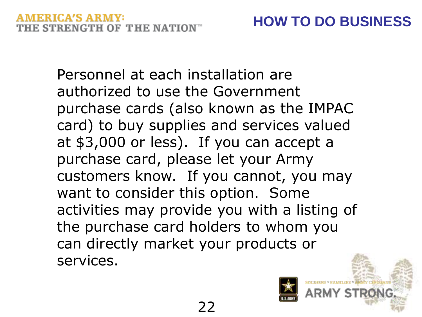Personnel at each installation are authorized to use the Government purchase cards (also known as the IMPAC card) to buy supplies and services valued at \$3,000 or less). If you can accept a purchase card, please let your Army customers know. If you cannot, you may want to consider this option. Some activities may provide you with a listing of the purchase card holders to whom you can directly market your products or services.

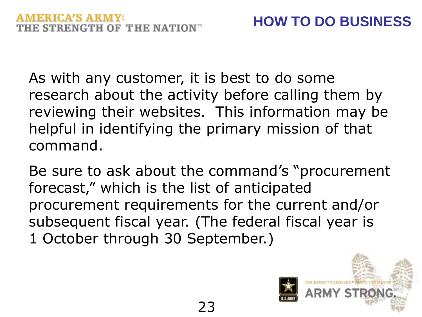As with any customer, it is best to do some research about the activity before calling them by reviewing their websites. This information may be helpful in identifying the primary mission of that command.

Be sure to ask about the command's "procurement forecast," which is the list of anticipated procurement requirements for the current and/or subsequent fiscal year. (The federal fiscal year is 1 October through 30 September.)

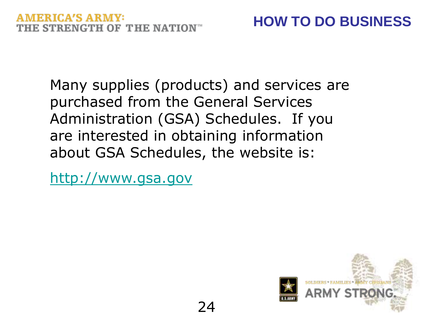Many supplies (products) and services are purchased from the General Services Administration (GSA) Schedules. If you are interested in obtaining information about GSA Schedules, the website is:

24

[http://www.gsa.gov](http://www.gsa.gov/)

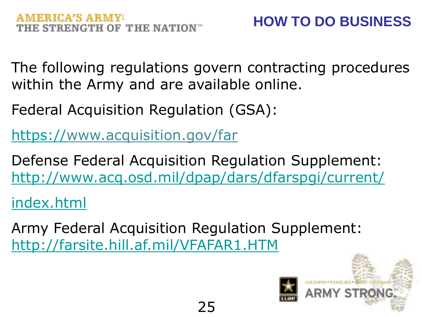The following regulations govern contracting procedures within the Army and are available online.

Federal Acquisition Regulation (GSA):

[https://w](https:///)ww.acquisition.gov/far

Defense Federal Acquisition Regulation Supplement: <http://www.acq.osd.mil/dpap/dars/dfarspgi/current/>

index.html

Army Federal Acquisition Regulation Supplement: http://farsite.hill.af.mil/VFAFAR1.HTM

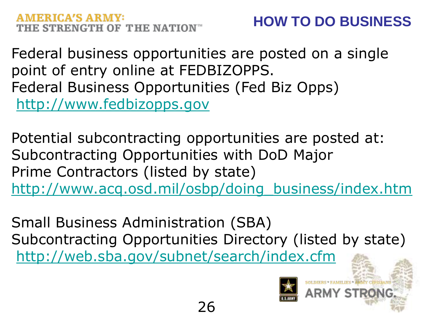Federal business opportunities are posted on a single point of entry online at FEDBIZOPPS. Federal Business Opportunities (Fed Biz Opps) [http://www.fedbizopps.gov](http://www.fedbizopps.gov/)

Potential subcontracting opportunities are posted at: Subcontracting Opportunities with DoD Major Prime Contractors (listed by state) http://www.acq.osd.mil/osbp/doing\_business/index.htm

Small Business Administration (SBA) Subcontracting Opportunities Directory (listed by state) <http://web.sba.gov/subnet/search/index.cfm>

26



SOLDIERS \* FAMILIES \* ARMY CIVIL

ARMY STR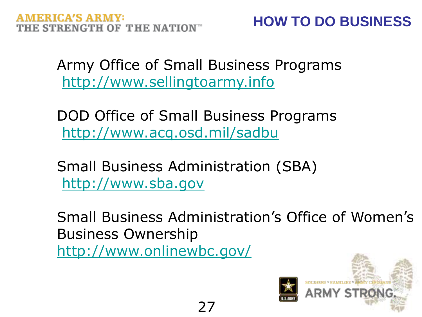**HOW TO DO BUSINESS** 

Army Office of Small Business Programs [http://www.sellingtoarmy.info](http://www.sellingtoarmy.info/)

DOD Office of Small Business Programs <http://www.acq.osd.mil/sadbu>

Small Business Administration (SBA) [http://www.sba.gov](http://www.sba.gov/)

27

Small Business Administration's Office of Women's Business Ownership http://www.onlinewbc.gov/